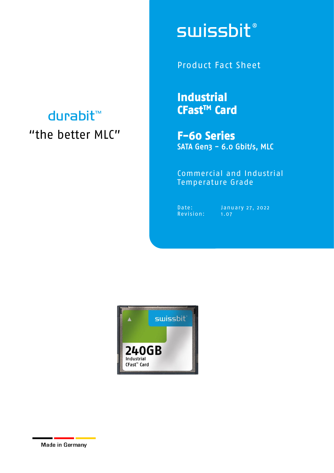## durabit™ "the better MLC"

# **swissbit®**

Product Fact Sheet

**Industrial CFastTM Card** 

**F-60 Series**  SATA Gen3 - 6.0 Gbit/s, MLC

Commercial and Industrial Temperature Grade

Revision: 1.07

Date: January 27, 2022